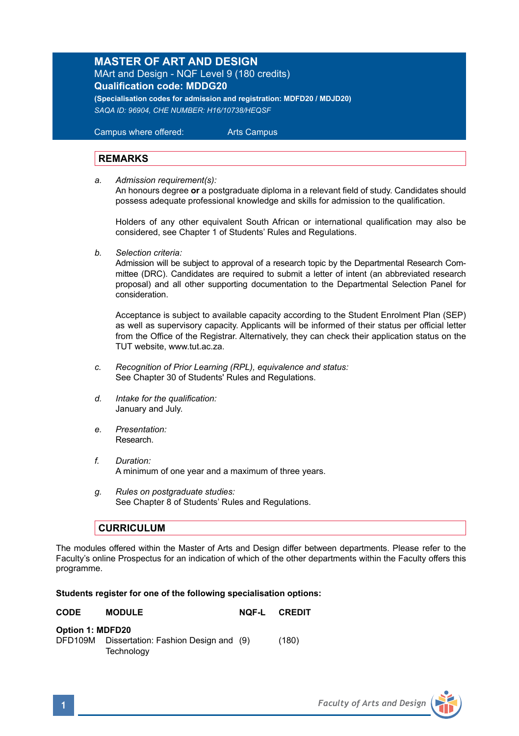## **MASTER OF ART AND DESIGN**

MArt and Design - NQF Level 9 (180 credits) **Qualification code: MDDG20 (Specialisation codes for admission and registration: MDFD20 / MDJD20)**

*SAQA ID: 96904, CHE NUMBER: H16/10738/HEQSF* 

 Campus where offered: Arts Campus

## **REMARKS**

*a. Admission requirement(s):*

An honours degree **or** a postgraduate diploma in a relevant field of study. Candidates should possess adequate professional knowledge and skills for admission to the qualification.

Holders of any other equivalent South African or international qualification may also be considered, see Chapter 1 of Students' Rules and Regulations.

*b. Selection criteria:*

Admission will be subject to approval of a research topic by the Departmental Research Committee (DRC). Candidates are required to submit a letter of intent (an abbreviated research proposal) and all other supporting documentation to the Departmental Selection Panel for consideration.

Acceptance is subject to available capacity according to the Student Enrolment Plan (SEP) as well as supervisory capacity. Applicants will be informed of their status per official letter from the Office of the Registrar. Alternatively, they can check their application status on the TUT website, www.tut.ac.za.

- *c. Recognition of Prior Learning (RPL), equivalence and status:* See Chapter 30 of Students' Rules and Regulations.
- *d. Intake for the qualification:* January and July.
- *e. Presentation:*  Research.
- *f. Duration:* A minimum of one year and a maximum of three years.
- *g. Rules on postgraduate studies:* See Chapter 8 of Students' Rules and Regulations.

## **CURRICULUM**

The modules offered within the Master of Arts and Design differ between departments. Please refer to the Faculty's online Prospectus for an indication of which of the other departments within the Faculty offers this programme.

## **Students register for one of the following specialisation options:**

| <b>CODE</b>      | <b>MODULE</b>                                      | NOF-L | CREDIT |
|------------------|----------------------------------------------------|-------|--------|
| Option 1: MDFD20 |                                                    |       |        |
| DFD109M          | Dissertation: Fashion Design and (9)<br>Technology |       | (180)  |